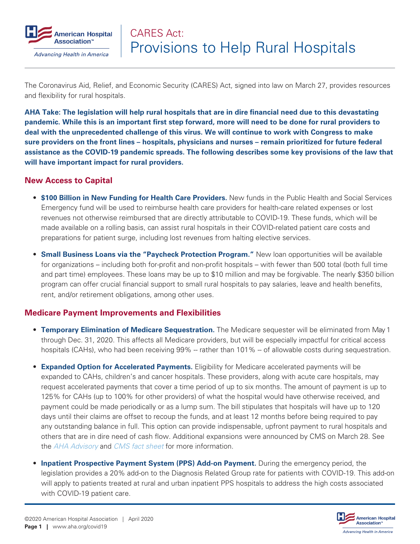

The Coronavirus Aid, Relief, and Economic Security (CARES) Act, signed into law on March 27, provides resources and flexibility for rural hospitals.

**AHA Take: The legislation will help rural hospitals that are in dire financial need due to this devastating pandemic. While this is an important first step forward, more will need to be done for rural providers to deal with the unprecedented challenge of this virus. We will continue to work with Congress to make sure providers on the front lines – hospitals, physicians and nurses – remain prioritized for future federal assistance as the COVID-19 pandemic spreads. The following describes some key provisions of the law that will have important impact for rural providers.** 

### **New Access to Capital**

- **\$100 Billion in New Funding for Health Care Providers.** New funds in the Public Health and Social Services Emergency fund will be used to reimburse health care providers for health-care related expenses or lost revenues not otherwise reimbursed that are directly attributable to COVID-19. These funds, which will be made available on a rolling basis, can assist rural hospitals in their COVID-related patient care costs and preparations for patient surge, including lost revenues from halting elective services.
- **Small Business Loans via the "Paycheck Protection Program."** New loan opportunities will be available for organizations – including both for-profit and non-profit hospitals – with fewer than 500 total (both full time and part time) employees. These loans may be up to \$10 million and may be forgivable. The nearly \$350 billion program can offer crucial financial support to small rural hospitals to pay salaries, leave and health benefits, rent, and/or retirement obligations, among other uses.

## **Medicare Payment Improvements and Flexibilities**

- **Temporary Elimination of Medicare Sequestration.** The Medicare sequester will be eliminated from May 1 through Dec. 31, 2020. This affects all Medicare providers, but will be especially impactful for critical access hospitals (CAHs), who had been receiving 99% -- rather than 101% -- of allowable costs during sequestration.
- **Expanded Option for Accelerated Payments.** Eligibility for Medicare accelerated payments will be expanded to CAHs, children's and cancer hospitals. These providers, along with acute care hospitals, may request accelerated payments that cover a time period of up to six months. The amount of payment is up to 125% for CAHs (up to 100% for other providers) of what the hospital would have otherwise received, and payment could be made periodically or as a lump sum. The bill stipulates that hospitals will have up to 120 days until their claims are offset to recoup the funds, and at least 12 months before being required to pay any outstanding balance in full. This option can provide indispensable, upfront payment to rural hospitals and others that are in dire need of cash flow. Additional expansions were announced by CMS on March 28. See the *[AHA Advisory](https://www.aha.org/advisory/2020-03-28-coronavirus-update-cms-announces-expansion-medicare-accelerated-payment-program)* and *[CMS fact sheet](http://www.cms.gov/files/document/Accelerated-and-Advanced-Payments-Fact-Sheet.pdf)* for more information.
- **Inpatient Prospective Payment System (PPS) Add-on Payment.** During the emergency period, the legislation provides a 20% add-on to the Diagnosis Related Group rate for patients with COVID-19. This add-on will apply to patients treated at rural and urban inpatient PPS hospitals to address the high costs associated with COVID-19 patient care.